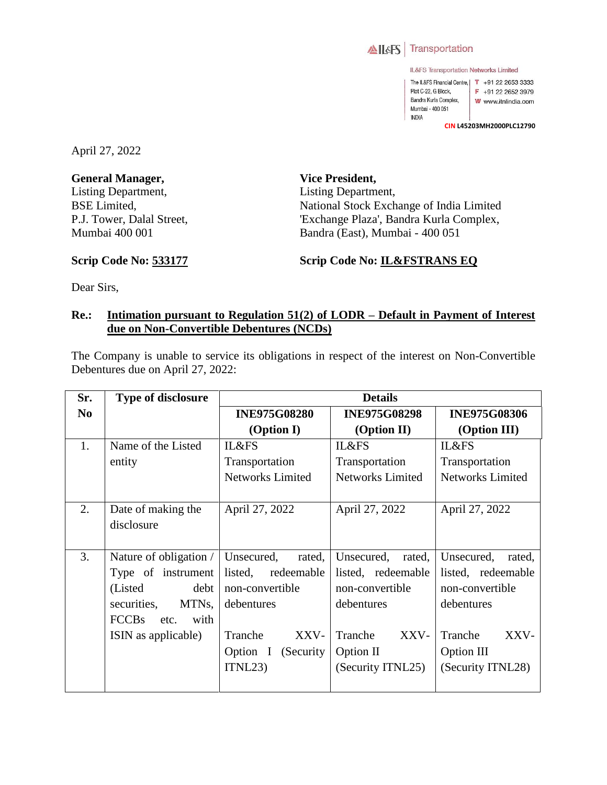

IL&FS Transportation Networks Limited

The IL&FS Financial Centre, | T +91 22 2653 3333 Plot C-22, G Block,  $F + 912226523979$ Bandra Kurla Complex, W www.itnlindia.com Mumbai - 400 051 **INDIA** 

**CIN L45203MH2000PLC12790**

April 27, 2022

**General Manager,**  Listing Department, BSE Limited, P.J. Tower, Dalal Street, Mumbai 400 001

**Scrip Code No: 533177**

**Vice President,**  Listing Department, National Stock Exchange of India Limited 'Exchange Plaza', Bandra Kurla Complex, Bandra (East), Mumbai - 400 051

**Scrip Code No: IL&FSTRANS EQ**

Dear Sirs,

## **Re.: Intimation pursuant to Regulation 51(2) of LODR – Default in Payment of Interest due on Non-Convertible Debentures (NCDs)**

The Company is unable to service its obligations in respect of the interest on Non-Convertible Debentures due on April 27, 2022:

| Sr.            | <b>Type of disclosure</b>    | <b>Details</b>          |                                                    |                      |  |
|----------------|------------------------------|-------------------------|----------------------------------------------------|----------------------|--|
| N <sub>0</sub> |                              | <b>INE975G08280</b>     | <b>INE975G08298</b>                                | <b>INE975G08306</b>  |  |
|                |                              | (Option I)              | (Option II)                                        | (Option III)         |  |
| 1.             | Name of the Listed           | IL&FS                   | IL&FS                                              | IL&FS                |  |
|                | entity                       | Transportation          | Transportation                                     | Transportation       |  |
|                |                              | <b>Networks Limited</b> | <b>Networks Limited</b><br><b>Networks Limited</b> |                      |  |
|                |                              |                         |                                                    |                      |  |
| 2.             | Date of making the           | April 27, 2022          | April 27, 2022                                     | April 27, 2022       |  |
|                | disclosure                   |                         |                                                    |                      |  |
|                |                              |                         |                                                    |                      |  |
| 3.             | Nature of obligation $/$     | Unsecured,<br>rated,    | Unsecured,<br>rated,                               | Unsecured,<br>rated, |  |
|                | Type of instrument           | listed, redeemable      | listed, redeemable                                 | listed, redeemable   |  |
|                | (Listed)<br>debt             | non-convertible         | non-convertible                                    | non-convertible      |  |
|                | MTNs,<br>securities,         | debentures              | debentures                                         | debentures           |  |
|                | <b>FCCBs</b><br>with<br>etc. |                         |                                                    |                      |  |
|                | ISIN as applicable)          | XXV-<br>Tranche         | Tranche<br>XXV-                                    | Tranche<br>XXV-      |  |
|                |                              | Option I (Security      | Option II                                          | Option III           |  |
|                |                              | ITNL23                  | (Security ITNL25)                                  | (Security ITNL28)    |  |
|                |                              |                         |                                                    |                      |  |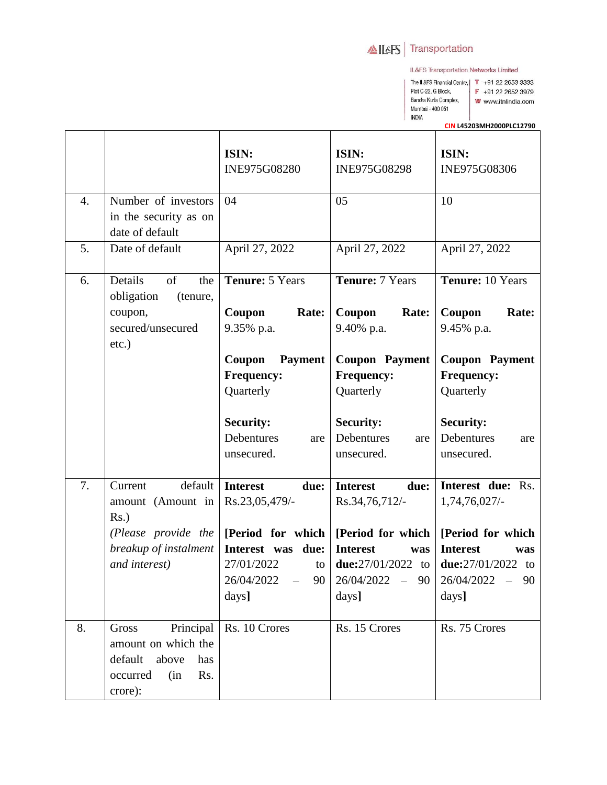## AILAS Transportation

IL&FS Transportation Networks Limited

The IL&FS Financial Centre, | T +91 22 2653 3333 Plot C-22, G Block, Bandra Kurla Complex, Mumbai - 400 051 INDIA

F +91 22 2652 3979

- W www.itnlindia.com
	-

CIN L45203MH2000PLC12790

|                  |                                                                                                             | ISIN:<br>INE975G08280                                                                                          | ISIN:<br>INE975G08298                                                   | ISIN:<br>INE975G08306                                                                              |
|------------------|-------------------------------------------------------------------------------------------------------------|----------------------------------------------------------------------------------------------------------------|-------------------------------------------------------------------------|----------------------------------------------------------------------------------------------------|
| $\overline{4}$ . | Number of investors<br>in the security as on<br>date of default                                             | 04                                                                                                             | 05                                                                      | 10                                                                                                 |
| 5.               | Date of default                                                                                             | April 27, 2022                                                                                                 | April 27, 2022                                                          | April 27, 2022                                                                                     |
| 6.               | $% \overline{a}$ of<br>Details<br>the<br>obligation<br>(tenure,<br>coupon,<br>secured/unsecured<br>$etc.$ ) | Tenure: 5 Years<br>Coupon<br>Rate:<br>9.35% p.a.                                                               | <b>Tenure: 7 Years</b><br>Coupon<br>Rate:<br>9.40% p.a.                 | Tenure: 10 Years<br>Coupon<br>Rate:<br>9.45% p.a.                                                  |
|                  |                                                                                                             | Coupon<br><b>Payment</b><br><b>Frequency:</b><br>Quarterly                                                     | <b>Coupon Payment</b><br><b>Frequency:</b><br>Quarterly                 | <b>Coupon Payment</b><br><b>Frequency:</b><br>Quarterly                                            |
|                  |                                                                                                             | <b>Security:</b><br>Debentures<br>are<br>unsecured.                                                            | <b>Security:</b><br>Debentures<br>are<br>unsecured.                     | <b>Security:</b><br>Debentures<br>are<br>unsecured.                                                |
| 7.               | default<br>Current<br>amount (Amount in<br>$Rs.$ )                                                          | <b>Interest</b><br>due:<br>Rs.23,05,479/-                                                                      | <b>Interest</b><br>due:<br>Rs.34,76,712/-                               | Interest due: Rs.<br>1,74,76,027/                                                                  |
|                  | (Please provide the<br>breakup of instalment<br>and interest)                                               | [Period for which   [Period for which<br>Interest was<br>due:<br>27/01/2022<br>to<br>26/04/2022<br>90<br>days] | <b>Interest</b><br>was<br>due:27/01/2022 to<br>26/04/2022 - 90<br>days] | [Period for which]<br><b>Interest</b><br>was<br>due: $27/01/2022$ to<br>$26/04/2022 - 90$<br>days] |
| 8.               | Principal<br>Gross<br>amount on which the<br>default<br>above<br>has<br>occurred<br>(in<br>Rs.<br>crore):   | Rs. 10 Crores                                                                                                  | Rs. 15 Crores                                                           | Rs. 75 Crores                                                                                      |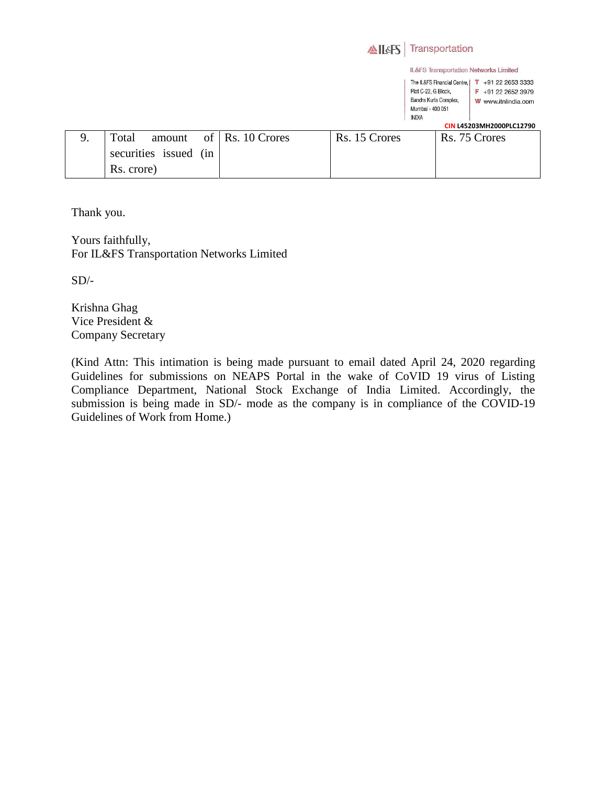|    |                          |               | <b>ALSS</b>   | Transportation                                                                                                  |                                                                    |
|----|--------------------------|---------------|---------------|-----------------------------------------------------------------------------------------------------------------|--------------------------------------------------------------------|
|    |                          |               |               | IL&FS Transportation Networks Limited                                                                           |                                                                    |
|    |                          |               |               | The IL&FS Financial Centre.<br>Plot C-22, G Block,<br>Bandra Kurla Complex,<br>Mumbai - 400 051<br><b>INDIA</b> | +91 22 2653 3333<br>т<br>$F + 912226523979$<br>W www.itnlindia.com |
|    |                          |               |               |                                                                                                                 | CIN L45203MH2000PLC12790                                           |
| 9. | of<br>Total<br>amount    | Rs. 10 Crores | Rs. 15 Crores |                                                                                                                 | Rs. 75 Crores                                                      |
|    | securities issued<br>(in |               |               |                                                                                                                 |                                                                    |
|    | Rs. crore)               |               |               |                                                                                                                 |                                                                    |

Thank you.

Yours faithfully, For IL&FS Transportation Networks Limited

 $SD/-$ 

Krishna Ghag Vice President & Company Secretary

(Kind Attn: This intimation is being made pursuant to email dated April 24, 2020 regarding Guidelines for submissions on NEAPS Portal in the wake of CoVID 19 virus of Listing Compliance Department, National Stock Exchange of India Limited. Accordingly, the submission is being made in SD/- mode as the company is in compliance of the COVID-19 Guidelines of Work from Home.)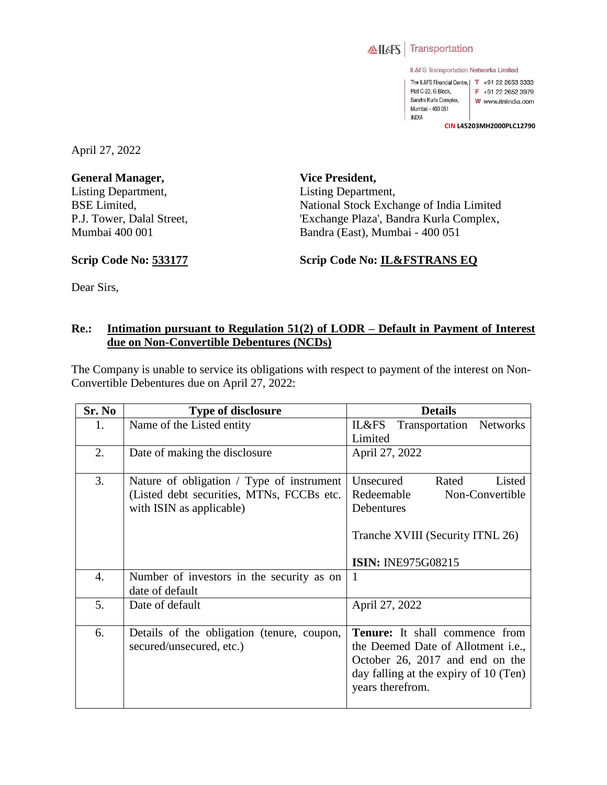

IL&FS Transportation Networks Limited

The IL&FS Financial Centre, | T +91 22 2653 3333 Plot C-22, G Block, F +91 22 2652 3979 Bandra Kurla Complex, W www.itnlindia.com Mumbai - 400 051 INDIA

**CIN L45203MH2000PLC12790**

April 27, 2022

**General Manager,**  Listing Department, BSE Limited, P.J. Tower, Dalal Street, Mumbai 400 001

**Vice President,**  Listing Department, National Stock Exchange of India Limited 'Exchange Plaza', Bandra Kurla Complex, Bandra (East), Mumbai - 400 051

**Scrip Code No: 533177**

**Scrip Code No: IL&FSTRANS EQ**

Dear Sirs,

## **Re.: Intimation pursuant to Regulation 51(2) of LODR – Default in Payment of Interest due on Non-Convertible Debentures (NCDs)**

The Company is unable to service its obligations with respect to payment of the interest on Non-Convertible Debentures due on April 27, 2022:

| Sr. No | <b>Type of disclosure</b>                  | <b>Details</b>                        |
|--------|--------------------------------------------|---------------------------------------|
| 1.     | Name of the Listed entity                  | IL&FS<br>Transportation Networks      |
|        |                                            | Limited                               |
| 2.     | Date of making the disclosure              | April 27, 2022                        |
|        |                                            |                                       |
| 3.     | Nature of obligation / Type of instrument  | Unsecured<br>Rated<br>Listed          |
|        | (Listed debt securities, MTNs, FCCBs etc.  | Redeemable<br>Non-Convertible         |
|        | with ISIN as applicable)                   | Debentures                            |
|        |                                            |                                       |
|        |                                            | Tranche XVIII (Security ITNL 26)      |
|        |                                            |                                       |
|        |                                            | <b>ISIN: INE975G08215</b>             |
| 4.     | Number of investors in the security as on  | $\mathbf{1}$                          |
|        | date of default                            |                                       |
| 5.     | Date of default                            | April 27, 2022                        |
|        |                                            |                                       |
| 6.     | Details of the obligation (tenure, coupon, | <b>Tenure:</b> It shall commence from |
|        | secured/unsecured, etc.)                   | the Deemed Date of Allotment i.e.,    |
|        |                                            | October 26, 2017 and end on the       |
|        |                                            | day falling at the expiry of 10 (Ten) |
|        |                                            | years therefrom.                      |
|        |                                            |                                       |